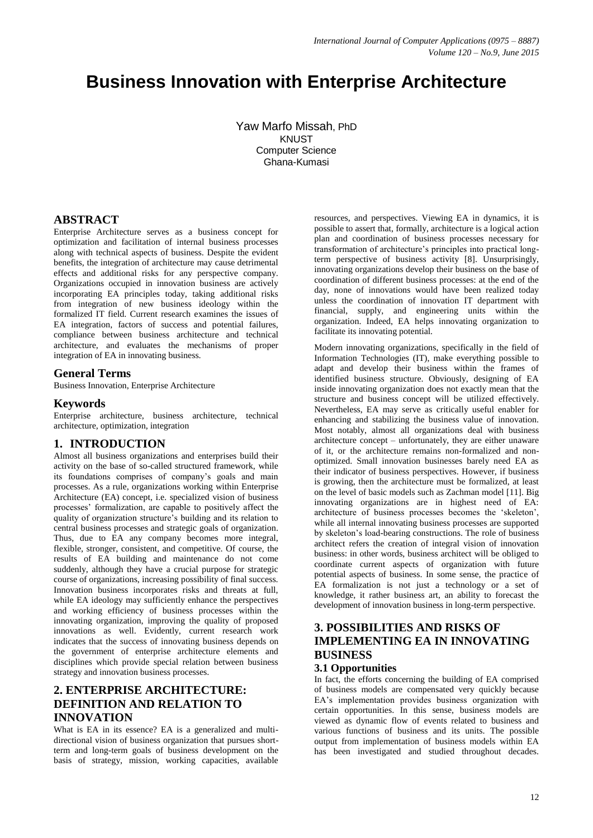# **Business Innovation with Enterprise Architecture**

Yaw Marfo Missah, PhD KNUST Computer Science Ghana-Kumasi

## **ABSTRACT**

Enterprise Architecture serves as a business concept for optimization and facilitation of internal business processes along with technical aspects of business. Despite the evident benefits, the integration of architecture may cause detrimental effects and additional risks for any perspective company. Organizations occupied in innovation business are actively incorporating EA principles today, taking additional risks from integration of new business ideology within the formalized IT field. Current research examines the issues of EA integration, factors of success and potential failures, compliance between business architecture and technical architecture, and evaluates the mechanisms of proper integration of EA in innovating business.

## **General Terms**

Business Innovation, Enterprise Architecture

#### **Keywords**

Enterprise architecture, business architecture, technical architecture, optimization, integration

#### **1. INTRODUCTION**

Almost all business organizations and enterprises build their activity on the base of so-called structured framework, while its foundations comprises of company's goals and main processes. As a rule, organizations working within Enterprise Architecture (EA) concept, i.e. specialized vision of business processes' formalization, are capable to positively affect the quality of organization structure's building and its relation to central business processes and strategic goals of organization. Thus, due to EA any company becomes more integral, flexible, stronger, consistent, and competitive. Of course, the results of EA building and maintenance do not come suddenly, although they have a crucial purpose for strategic course of organizations, increasing possibility of final success. Innovation business incorporates risks and threats at full, while EA ideology may sufficiently enhance the perspectives and working efficiency of business processes within the innovating organization, improving the quality of proposed innovations as well. Evidently, current research work indicates that the success of innovating business depends on the government of enterprise architecture elements and disciplines which provide special relation between business strategy and innovation business processes.

# **2. ENTERPRISE ARCHITECTURE: DEFINITION AND RELATION TO INNOVATION**

What is EA in its essence? EA is a generalized and multidirectional vision of business organization that pursues shortterm and long-term goals of business development on the basis of strategy, mission, working capacities, available

resources, and perspectives. Viewing EA in dynamics, it is possible to assert that, formally, architecture is a logical action plan and coordination of business processes necessary for transformation of architecture's principles into practical longterm perspective of business activity [8]. Unsurprisingly, innovating organizations develop their business on the base of coordination of different business processes: at the end of the day, none of innovations would have been realized today unless the coordination of innovation IT department with financial, supply, and engineering units within the organization. Indeed, EA helps innovating organization to facilitate its innovating potential.

Modern innovating organizations, specifically in the field of Information Technologies (IT), make everything possible to adapt and develop their business within the frames of identified business structure. Obviously, designing of EA inside innovating organization does not exactly mean that the structure and business concept will be utilized effectively. Nevertheless, EA may serve as critically useful enabler for enhancing and stabilizing the business value of innovation. Most notably, almost all organizations deal with business architecture concept – unfortunately, they are either unaware of it, or the architecture remains non-formalized and nonoptimized. Small innovation businesses barely need EA as their indicator of business perspectives. However, if business is growing, then the architecture must be formalized, at least on the level of basic models such as Zachman model [11]. Big innovating organizations are in highest need of EA: architecture of business processes becomes the 'skeleton', while all internal innovating business processes are supported by skeleton's load-bearing constructions. The role of business architect refers the creation of integral vision of innovation business: in other words, business architect will be obliged to coordinate current aspects of organization with future potential aspects of business. In some sense, the practice of EA formalization is not just a technology or a set of knowledge, it rather business art, an ability to forecast the development of innovation business in long-term perspective.

# **3. POSSIBILITIES AND RISKS OF IMPLEMENTING EA IN INNOVATING BUSINESS**

#### **3.1 Opportunities**

In fact, the efforts concerning the building of EA comprised of business models are compensated very quickly because EA's implementation provides business organization with certain opportunities. In this sense, business models are viewed as dynamic flow of events related to business and various functions of business and its units. The possible output from implementation of business models within EA has been investigated and studied throughout decades.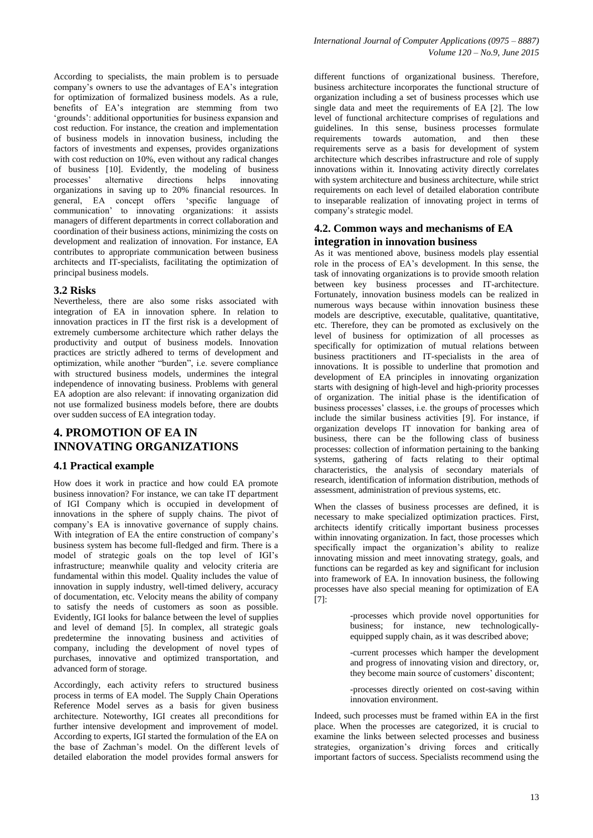According to specialists, the main problem is to persuade company's owners to use the advantages of EA's integration for optimization of formalized business models. As a rule, benefits of EA's integration are stemming from two 'grounds': additional opportunities for business expansion and cost reduction. For instance, the creation and implementation of business models in innovation business, including the factors of investments and expenses, provides organizations with cost reduction on 10%, even without any radical changes of business [10]. Evidently, the modeling of business<br>processes' alternative directions helps innovating alternative directions helps innovating organizations in saving up to 20% financial resources. In general, EA concept offers 'specific language of communication' to innovating organizations: it assists managers of different departments in correct collaboration and coordination of their business actions, minimizing the costs on development and realization of innovation. For instance, EA contributes to appropriate communication between business architects and IT-specialists, facilitating the optimization of principal business models.

#### **3.2 Risks**

Nevertheless, there are also some risks associated with integration of EA in innovation sphere. In relation to innovation practices in IT the first risk is a development of extremely cumbersome architecture which rather delays the productivity and output of business models. Innovation practices are strictly adhered to terms of development and optimization, while another "burden", i.e. severe compliance with structured business models, undermines the integral independence of innovating business. Problems with general EA adoption are also relevant: if innovating organization did not use formalized business models before, there are doubts over sudden success of EA integration today.

# **4. PROMOTION OF EA IN INNOVATING ORGANIZATIONS**

#### **4.1 Practical example**

How does it work in practice and how could EA promote business innovation? For instance, we can take IT department of IGI Company which is occupied in development of innovations in the sphere of supply chains. The pivot of company's EA is innovative governance of supply chains. With integration of EA the entire construction of company's business system has become full-fledged and firm. There is a model of strategic goals on the top level of IGI's infrastructure; meanwhile quality and velocity criteria are fundamental within this model. Quality includes the value of innovation in supply industry, well-timed delivery, accuracy of documentation, etc. Velocity means the ability of company to satisfy the needs of customers as soon as possible. Evidently, IGI looks for balance between the level of supplies and level of demand [5]. In complex, all strategic goals predetermine the innovating business and activities of company, including the development of novel types of purchases, innovative and optimized transportation, and advanced form of storage.

Accordingly, each activity refers to structured business process in terms of EA model. The Supply Chain Operations Reference Model serves as a basis for given business architecture. Noteworthy, IGI creates all preconditions for further intensive development and improvement of model. According to experts, IGI started the formulation of the EA on the base of Zachman's model. On the different levels of detailed elaboration the model provides formal answers for

different functions of organizational business. Therefore, business architecture incorporates the functional structure of organization including a set of business processes which use single data and meet the requirements of EA [2]. The low level of functional architecture comprises of regulations and guidelines. In this sense, business processes formulate requirements towards automation, and then these requirements serve as a basis for development of system architecture which describes infrastructure and role of supply innovations within it. Innovating activity directly correlates with system architecture and business architecture, while strict requirements on each level of detailed elaboration contribute to inseparable realization of innovating project in terms of company's strategic model.

### **4.2. Common ways and mechanisms of EA integration in innovation business**

As it was mentioned above, business models play essential role in the process of EA's development. In this sense, the task of innovating organizations is to provide smooth relation between key business processes and IT-architecture. Fortunately, innovation business models can be realized in numerous ways because within innovation business these models are descriptive, executable, qualitative, quantitative, etc. Therefore, they can be promoted as exclusively on the level of business for optimization of all processes as specifically for optimization of mutual relations between business practitioners and IT-specialists in the area of innovations. It is possible to underline that promotion and development of EA principles in innovating organization starts with designing of high-level and high-priority processes of organization. The initial phase is the identification of business processes' classes, i.e. the groups of processes which include the similar business activities [9]. For instance, if organization develops IT innovation for banking area of business, there can be the following class of business processes: collection of information pertaining to the banking systems, gathering of facts relating to their optimal characteristics, the analysis of secondary materials of research, identification of information distribution, methods of assessment, administration of previous systems, etc.

When the classes of business processes are defined, it is necessary to make specialized optimization practices. First, architects identify critically important business processes within innovating organization. In fact, those processes which specifically impact the organization's ability to realize innovating mission and meet innovating strategy, goals, and functions can be regarded as key and significant for inclusion into framework of EA. In innovation business, the following processes have also special meaning for optimization of EA [7]:

> -processes which provide novel opportunities for business; for instance, new technologicallyequipped supply chain, as it was described above;

> -current processes which hamper the development and progress of innovating vision and directory, or, they become main source of customers' discontent;

> -processes directly oriented on cost-saving within innovation environment.

Indeed, such processes must be framed within EA in the first place. When the processes are categorized, it is crucial to examine the links between selected processes and business strategies, organization's driving forces and critically important factors of success. Specialists recommend using the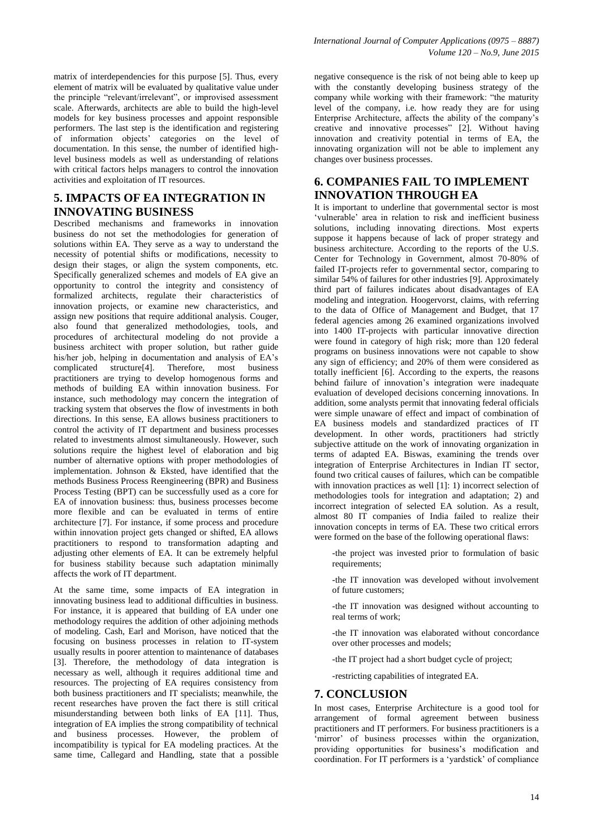matrix of interdependencies for this purpose [5]. Thus, every element of matrix will be evaluated by qualitative value under the principle "relevant/irrelevant", or improvised assessment scale. Afterwards, architects are able to build the high-level models for key business processes and appoint responsible performers. The last step is the identification and registering of information objects' categories on the level of documentation. In this sense, the number of identified highlevel business models as well as understanding of relations with critical factors helps managers to control the innovation activities and exploitation of IT resources.

## **5. IMPACTS OF EA INTEGRATION IN INNOVATING BUSINESS**

Described mechanisms and frameworks in innovation business do not set the methodologies for generation of solutions within EA. They serve as a way to understand the necessity of potential shifts or modifications, necessity to design their stages, or align the system components, etc. Specifically generalized schemes and models of EA give an opportunity to control the integrity and consistency of formalized architects, regulate their characteristics of innovation projects, or examine new characteristics, and assign new positions that require additional analysis. Couger, also found that generalized methodologies, tools, and procedures of architectural modeling do not provide a business architect with proper solution, but rather guide his/her job, helping in documentation and analysis of EA's complicated structure[4]. Therefore, most business practitioners are trying to develop homogenous forms and methods of building EA within innovation business. For instance, such methodology may concern the integration of tracking system that observes the flow of investments in both directions. In this sense, EA allows business practitioners to control the activity of IT department and business processes related to investments almost simultaneously. However, such solutions require the highest level of elaboration and big number of alternative options with proper methodologies of implementation. Johnson & Eksted, have identified that the methods Business Process Reengineering (BPR) and Business Process Testing (BPT) can be successfully used as a core for EA of innovation business: thus, business processes become more flexible and can be evaluated in terms of entire architecture [7]. For instance, if some process and procedure within innovation project gets changed or shifted, EA allows practitioners to respond to transformation adapting and adjusting other elements of EA. It can be extremely helpful for business stability because such adaptation minimally affects the work of IT department.

At the same time, some impacts of EA integration in innovating business lead to additional difficulties in business. For instance, it is appeared that building of EA under one methodology requires the addition of other adjoining methods of modeling. Cash, Earl and Morison, have noticed that the focusing on business processes in relation to IT-system usually results in poorer attention to maintenance of databases [3]. Therefore, the methodology of data integration is necessary as well, although it requires additional time and resources. The projecting of EA requires consistency from both business practitioners and IT specialists; meanwhile, the recent researches have proven the fact there is still critical misunderstanding between both links of EA [11]. Thus, integration of EA implies the strong compatibility of technical and business processes. However, the problem of incompatibility is typical for EA modeling practices. At the same time, Callegard and Handling, state that a possible

negative consequence is the risk of not being able to keep up with the constantly developing business strategy of the company while working with their framework: "the maturity level of the company, i.e. how ready they are for using Enterprise Architecture, affects the ability of the company's creative and innovative processes" [2]. Without having innovation and creativity potential in terms of EA, the innovating organization will not be able to implement any changes over business processes.

## **6. COMPANIES FAIL TO IMPLEMENT INNOVATION THROUGH EA**

It is important to underline that governmental sector is most 'vulnerable' area in relation to risk and inefficient business solutions, including innovating directions. Most experts suppose it happens because of lack of proper strategy and business architecture. According to the reports of the U.S. Center for Technology in Government, almost 70-80% of failed IT-projects refer to governmental sector, comparing to similar 54% of failures for other industries [9]. Approximately third part of failures indicates about disadvantages of EA modeling and integration. Hoogervorst, claims, with referring to the data of Office of Management and Budget, that 17 federal agencies among 26 examined organizations involved into 1400 IT-projects with particular innovative direction were found in category of high risk; more than 120 federal programs on business innovations were not capable to show any sign of efficiency; and 20% of them were considered as totally inefficient [6]. According to the experts, the reasons behind failure of innovation's integration were inadequate evaluation of developed decisions concerning innovations. In addition, some analysts permit that innovating federal officials were simple unaware of effect and impact of combination of EA business models and standardized practices of IT development. In other words, practitioners had strictly subjective attitude on the work of innovating organization in terms of adapted EA. Biswas, examining the trends over integration of Enterprise Architectures in Indian IT sector, found two critical causes of failures, which can be compatible with innovation practices as well [1]: 1) incorrect selection of methodologies tools for integration and adaptation; 2) and incorrect integration of selected EA solution. As a result, almost 80 IT companies of India failed to realize their innovation concepts in terms of EA. These two critical errors were formed on the base of the following operational flaws:

-the project was invested prior to formulation of basic requirements;

-the IT innovation was developed without involvement of future customers;

-the IT innovation was designed without accounting to real terms of work;

-the IT innovation was elaborated without concordance over other processes and models;

-the IT project had a short budget cycle of project;

-restricting capabilities of integrated EA.

#### **7. CONCLUSION**

In most cases, Enterprise Architecture is a good tool for arrangement of formal agreement between business practitioners and IT performers. For business practitioners is a 'mirror' of business processes within the organization, providing opportunities for business's modification and coordination. For IT performers is a 'yardstick' of compliance